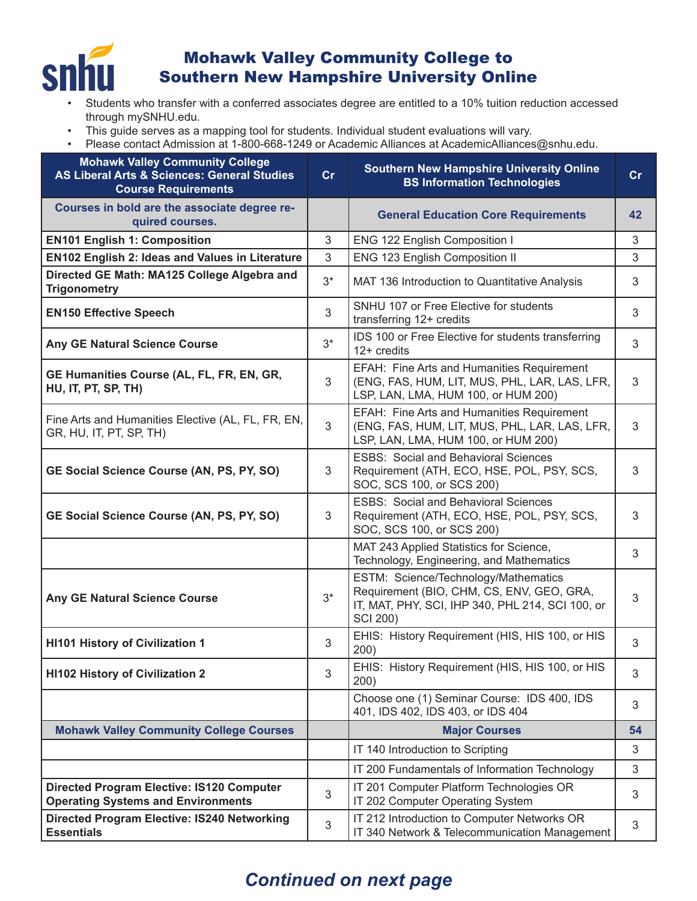

## Mohawk Valley Community College to Southern New Hampshire University Online

- Students who transfer with a conferred associates degree are entitled to a 10% tuition reduction accessed through mySNHU.edu.
- This guide serves as a mapping tool for students. Individual student evaluations will vary.
- Please contact Admission at 1-800-668-1249 or Academic Alliances at AcademicAlliances@snhu.edu.

| <b>Mohawk Valley Community College</b><br><b>AS Liberal Arts &amp; Sciences: General Studies</b><br><b>Course Requirements</b> | cr    | <b>Southern New Hampshire University Online</b><br><b>BS Information Technologies</b>                                                                    | cr             |
|--------------------------------------------------------------------------------------------------------------------------------|-------|----------------------------------------------------------------------------------------------------------------------------------------------------------|----------------|
| Courses in bold are the associate degree re-<br>quired courses.                                                                |       | <b>General Education Core Requirements</b>                                                                                                               | 42             |
| <b>EN101 English 1: Composition</b>                                                                                            | 3     | ENG 122 English Composition I                                                                                                                            | 3              |
| <b>EN102 English 2: Ideas and Values in Literature</b>                                                                         | 3     | ENG 123 English Composition II                                                                                                                           | 3              |
| Directed GE Math: MA125 College Algebra and<br><b>Trigonometry</b>                                                             | $3^*$ | MAT 136 Introduction to Quantitative Analysis                                                                                                            | 3              |
| <b>EN150 Effective Speech</b>                                                                                                  | 3     | SNHU 107 or Free Elective for students<br>transferring 12+ credits                                                                                       | 3              |
| Any GE Natural Science Course                                                                                                  | $3^*$ | IDS 100 or Free Elective for students transferring<br>$12+$ credits                                                                                      | 3              |
| GE Humanities Course (AL, FL, FR, EN, GR,<br>HU, IT, PT, SP, TH)                                                               | 3     | EFAH: Fine Arts and Humanities Requirement<br>(ENG, FAS, HUM, LIT, MUS, PHL, LAR, LAS, LFR,<br>LSP, LAN, LMA, HUM 100, or HUM 200)                       | 3              |
| Fine Arts and Humanities Elective (AL, FL, FR, EN,<br>GR, HU, IT, PT, SP, TH)                                                  | 3     | EFAH: Fine Arts and Humanities Requirement<br>(ENG, FAS, HUM, LIT, MUS, PHL, LAR, LAS, LFR,<br>LSP, LAN, LMA, HUM 100, or HUM 200)                       | 3              |
| GE Social Science Course (AN, PS, PY, SO)                                                                                      | 3     | <b>ESBS: Social and Behavioral Sciences</b><br>Requirement (ATH, ECO, HSE, POL, PSY, SCS,<br>SOC, SCS 100, or SCS 200)                                   | 3              |
| GE Social Science Course (AN, PS, PY, SO)                                                                                      | 3     | <b>ESBS: Social and Behavioral Sciences</b><br>Requirement (ATH, ECO, HSE, POL, PSY, SCS,<br>SOC, SCS 100, or SCS 200)                                   | 3              |
|                                                                                                                                |       | MAT 243 Applied Statistics for Science,<br>Technology, Engineering, and Mathematics                                                                      | 3              |
| Any GE Natural Science Course                                                                                                  | $3^*$ | ESTM: Science/Technology/Mathematics<br>Requirement (BIO, CHM, CS, ENV, GEO, GRA,<br>IT, MAT, PHY, SCI, IHP 340, PHL 214, SCI 100, or<br><b>SCI 200)</b> | 3              |
| <b>HI101 History of Civilization 1</b>                                                                                         | 3     | EHIS: History Requirement (HIS, HIS 100, or HIS<br>200)                                                                                                  | 3              |
| <b>HI102 History of Civilization 2</b>                                                                                         | 3     | EHIS: History Requirement (HIS, HIS 100, or HIS<br>200)                                                                                                  | 3              |
|                                                                                                                                |       | Choose one (1) Seminar Course: IDS 400, IDS<br>401, IDS 402, IDS 403, or IDS 404                                                                         | 3              |
| <b>Mohawk Valley Community College Courses</b>                                                                                 |       | <b>Major Courses</b>                                                                                                                                     | 54             |
|                                                                                                                                |       | IT 140 Introduction to Scripting                                                                                                                         | $\mathfrak{Z}$ |
|                                                                                                                                |       | IT 200 Fundamentals of Information Technology                                                                                                            | 3              |
| <b>Directed Program Elective: IS120 Computer</b><br><b>Operating Systems and Environments</b>                                  | 3     | IT 201 Computer Platform Technologies OR<br>IT 202 Computer Operating System                                                                             | 3              |
| <b>Directed Program Elective: IS240 Networking</b><br><b>Essentials</b>                                                        | 3     | IT 212 Introduction to Computer Networks OR<br>IT 340 Network & Telecommunication Management                                                             | $\mathfrak{S}$ |

## *Continued on next page*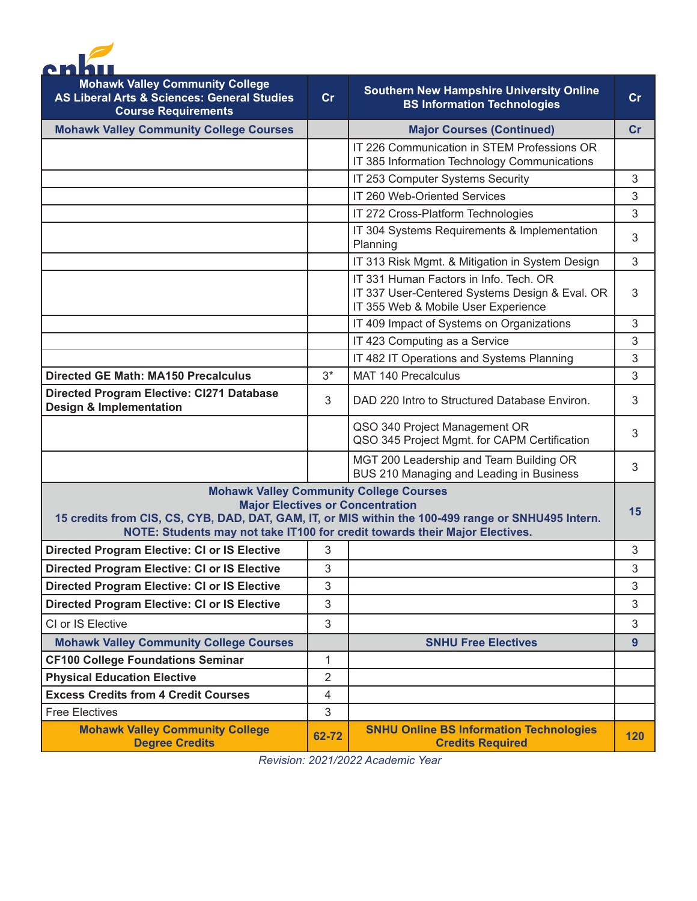

| <b>Mohawk Valley Community College</b><br><b>AS Liberal Arts &amp; Sciences: General Studies</b><br><b>Course Requirements</b>                                                                                                                                                  | cr             | <b>Southern New Hampshire University Online</b><br><b>BS Information Technologies</b>                                           | cr             |
|---------------------------------------------------------------------------------------------------------------------------------------------------------------------------------------------------------------------------------------------------------------------------------|----------------|---------------------------------------------------------------------------------------------------------------------------------|----------------|
| <b>Mohawk Valley Community College Courses</b>                                                                                                                                                                                                                                  |                | <b>Major Courses (Continued)</b>                                                                                                | cr             |
|                                                                                                                                                                                                                                                                                 |                | IT 226 Communication in STEM Professions OR<br>IT 385 Information Technology Communications                                     |                |
|                                                                                                                                                                                                                                                                                 |                | IT 253 Computer Systems Security                                                                                                | 3              |
|                                                                                                                                                                                                                                                                                 |                | IT 260 Web-Oriented Services                                                                                                    | 3              |
|                                                                                                                                                                                                                                                                                 |                | IT 272 Cross-Platform Technologies                                                                                              | 3              |
|                                                                                                                                                                                                                                                                                 |                | IT 304 Systems Requirements & Implementation<br>Planning                                                                        | 3              |
|                                                                                                                                                                                                                                                                                 |                | IT 313 Risk Mgmt. & Mitigation in System Design                                                                                 | 3              |
|                                                                                                                                                                                                                                                                                 |                | IT 331 Human Factors in Info. Tech. OR<br>IT 337 User-Centered Systems Design & Eval. OR<br>IT 355 Web & Mobile User Experience | 3              |
|                                                                                                                                                                                                                                                                                 |                | IT 409 Impact of Systems on Organizations                                                                                       | $\sqrt{3}$     |
|                                                                                                                                                                                                                                                                                 |                | IT 423 Computing as a Service                                                                                                   | 3              |
|                                                                                                                                                                                                                                                                                 |                | IT 482 IT Operations and Systems Planning                                                                                       | 3              |
| <b>Directed GE Math: MA150 Precalculus</b>                                                                                                                                                                                                                                      | $3^*$          | <b>MAT 140 Precalculus</b>                                                                                                      | 3              |
| <b>Directed Program Elective: CI271 Database</b><br><b>Design &amp; Implementation</b>                                                                                                                                                                                          | 3              | DAD 220 Intro to Structured Database Environ.                                                                                   | 3              |
|                                                                                                                                                                                                                                                                                 |                | QSO 340 Project Management OR<br>QSO 345 Project Mgmt. for CAPM Certification                                                   | 3              |
|                                                                                                                                                                                                                                                                                 |                | MGT 200 Leadership and Team Building OR<br>BUS 210 Managing and Leading in Business                                             | 3              |
| <b>Mohawk Valley Community College Courses</b><br><b>Major Electives or Concentration</b><br>15 credits from CIS, CS, CYB, DAD, DAT, GAM, IT, or MIS within the 100-499 range or SNHU495 Intern.<br>NOTE: Students may not take IT100 for credit towards their Major Electives. |                |                                                                                                                                 |                |
| <b>Directed Program Elective: CI or IS Elective</b>                                                                                                                                                                                                                             | 3              |                                                                                                                                 | 3              |
| <b>Directed Program Elective: CI or IS Elective</b>                                                                                                                                                                                                                             | 3              |                                                                                                                                 | 3              |
| <b>Directed Program Elective: CI or IS Elective</b>                                                                                                                                                                                                                             | 3              |                                                                                                                                 | $\mathfrak{S}$ |
| <b>Directed Program Elective: CI or IS Elective</b>                                                                                                                                                                                                                             | 3              |                                                                                                                                 | 3              |
| CI or IS Elective                                                                                                                                                                                                                                                               | 3              |                                                                                                                                 | 3              |
| <b>Mohawk Valley Community College Courses</b>                                                                                                                                                                                                                                  |                | <b>SNHU Free Electives</b>                                                                                                      | 9              |
| <b>CF100 College Foundations Seminar</b>                                                                                                                                                                                                                                        | 1              |                                                                                                                                 |                |
| <b>Physical Education Elective</b>                                                                                                                                                                                                                                              | 2              |                                                                                                                                 |                |
| <b>Excess Credits from 4 Credit Courses</b>                                                                                                                                                                                                                                     | $\overline{4}$ |                                                                                                                                 |                |
| <b>Free Electives</b>                                                                                                                                                                                                                                                           | 3              |                                                                                                                                 |                |
| <b>Mohawk Valley Community College</b><br><b>Degree Credits</b>                                                                                                                                                                                                                 | 62-72          | <b>SNHU Online BS Information Technologies</b><br><b>Credits Required</b>                                                       | 120            |

*Revision: 2021/2022 Academic Year*